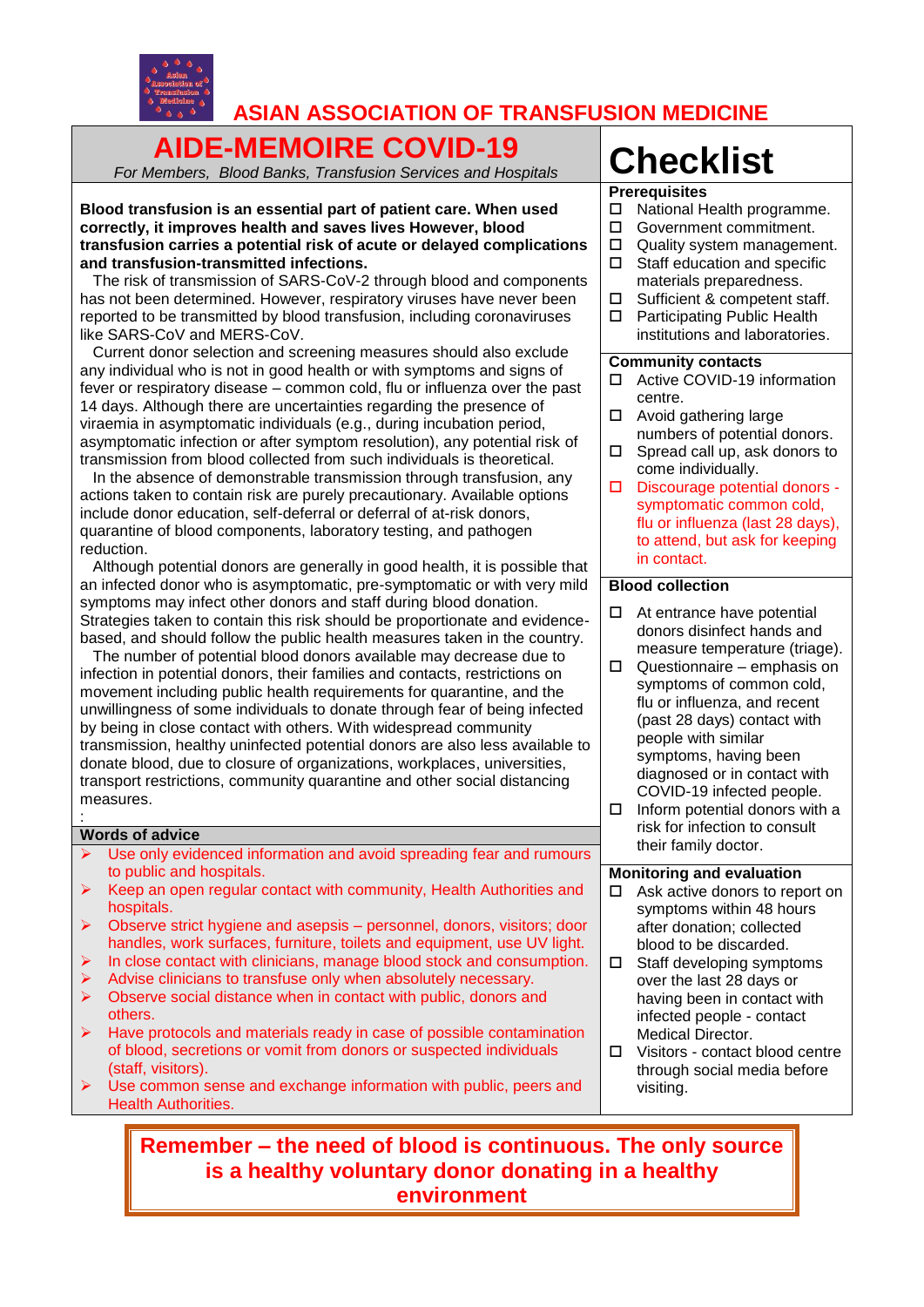

# **ASIAN ASSOCIATION OF TRANSFUSION MEDICINE**

## **AIDE-MEMOIRE COVID-19** *For Members, Blood Banks, Transfusion Services and Hospitals* **Checklist**

**Blood transfusion is an essential part of patient care. When used correctly, it improves health and saves lives However, blood transfusion carries a potential risk of acute or delayed complications and transfusion-transmitted infections.** 

 The risk of transmission of SARS-CoV-2 through blood and components has not been determined. However, respiratory viruses have never been reported to be transmitted by blood transfusion, including coronaviruses like SARS-CoV and MERS-CoV.

 Current donor selection and screening measures should also exclude any individual who is not in good health or with symptoms and signs of fever or respiratory disease – common cold, flu or influenza over the past 14 days. Although there are uncertainties regarding the presence of viraemia in asymptomatic individuals (e.g., during incubation period, asymptomatic infection or after symptom resolution), any potential risk of transmission from blood collected from such individuals is theoretical.

 In the absence of demonstrable transmission through transfusion, any actions taken to contain risk are purely precautionary. Available options include donor education, self-deferral or deferral of at-risk donors, quarantine of blood components, laboratory testing, and pathogen reduction.

 Although potential donors are generally in good health, it is possible that an infected donor who is asymptomatic, pre-symptomatic or with very mild symptoms may infect other donors and staff during blood donation. Strategies taken to contain this risk should be proportionate and evidencebased, and should follow the public health measures taken in the country.

 The number of potential blood donors available may decrease due to infection in potential donors, their families and contacts, restrictions on movement including public health requirements for quarantine, and the unwillingness of some individuals to donate through fear of being infected by being in close contact with others. With widespread community transmission, healthy uninfected potential donors are also less available to donate blood, due to closure of organizations, workplaces, universities, transport restrictions, community quarantine and other social distancing measures.

#### **Words of advice**

:

- Use only evidenced information and avoid spreading fear and rumours to public and hospitals.
- $\triangleright$  Keep an open regular contact with community, Health Authorities and hospitals.
- Observe strict hygiene and asepsis personnel, donors, visitors; door handles, work surfaces, furniture, toilets and equipment, use UV light.
- In close contact with clinicians, manage blood stock and consumption.
- Advise clinicians to transfuse only when absolutely necessary.
- Observe social distance when in contact with public, donors and others.
- Have protocols and materials ready in case of possible contamination of blood, secretions or vomit from donors or suspected individuals (staff, visitors).
- Use common sense and exchange information with public, peers and Health Authorities.

## **Prerequisites**

- $\Box$  National Health programme. □ Government commitment.  $\Box$  Quality system management.<br> $\Box$  Staff education and specific Staff education and specific materials preparedness.  $\square$  Sufficient & competent staff.<br>  $\square$  Participating Public Health Participating Public Health institutions and laboratories. **Community contacts**
- □ Active COVID-19 information centre.
- □ Avoid gathering large numbers of potential donors.
- $\square$  Spread call up, ask donors to come individually.
- D Discourage potential donors symptomatic common cold, flu or influenza (last 28 days), to attend, but ask for keeping in contact.

## **Blood collection**

- $\Box$  At entrance have potential donors disinfect hands and measure temperature (triage).
- $\Box$  Questionnaire emphasis on symptoms of common cold, flu or influenza, and recent (past 28 days) contact with people with similar symptoms, having been diagnosed or in contact with COVID-19 infected people.
- $\Box$  Inform potential donors with a risk for infection to consult their family doctor.

#### **Monitoring and evaluation**

- $\Box$  Ask active donors to report on symptoms within 48 hours after donation; collected blood to be discarded.
- $\Box$  Staff developing symptoms over the last 28 days or having been in contact with infected people - contact Medical Director.
- Visitors contact blood centre through social media before visiting.

**Remember – the need of blood is continuous. The only source is a healthy voluntary donor donating in a healthy environment**